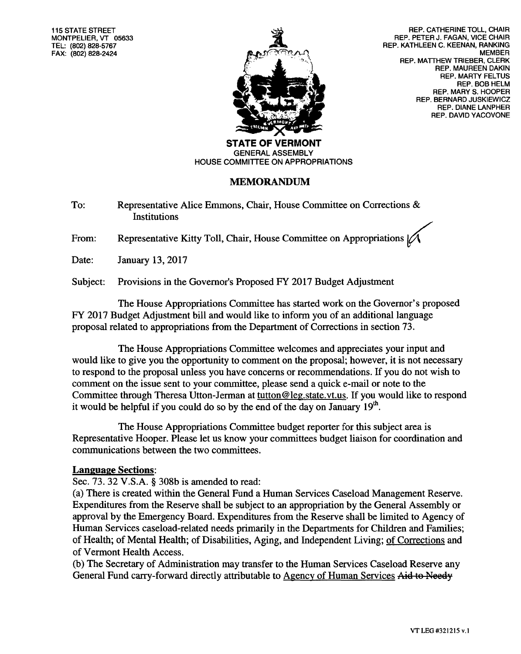**115 STATE STREET MONTPELIER, VT 05633 TEL: (802) 828-5767 FAX: (802) 828-2424** 



**REP. CATHERINE TOLL, CHAIR REP. PETER J. FAGAN, VICE CHAIR REP. KATHLEEN C. KEENAN, RANKING MEMBER REP. MATTHEW TRIEBER, CLERK REP. MAUREEN DAKIN REP. MARTY FELTUS REP. BOB HELM REP. MARY S. HOOPER REP. BERNARD JUSKIEWICZ REP. DIANE LANPHER REP. DAVID YACOVONE** 

**STATE OF VERMONT GENERAL ASSEMBLY HOUSE COMMITTEE ON APPROPRIATIONS** 

## **MEMORANDUM**

To: Representative Alice Emmons, Chair, House Committee on Corrections & Institutions

From: Representative Kitty Toll, Chair, House Committee on Appropriations |

Date: January 13, 2017

Subject: Provisions in the Governor's Proposed FY 2017 Budget Adjustment

The House Appropriations Committee has started work on the Governor's proposed FY 2017 Budget Adjustment bill and would like to inform you of an additional language proposal related to appropriations from the Department of Corrections in section 73.

The House Appropriations Committee welcomes and appreciates your input and would like to give you the opportunity to comment on the proposal; however, it is not necessary to respond to the proposal unless you have concerns or recommendations. If you do not wish to comment on the issue sent to your committee, please send a quick e-mail or note to the Committee through Theresa Utton-Jerman at tutton@leg.state.vt.us. If you would like to respond it would be helpful if you could do so by the end of the day on January  $19<sup>th</sup>$ .

The House Appropriations Committee budget reporter for this subject area is Representative Hooper. Please let us know your committees budget liaison for coordination and communications between the two committees.

## **Language Sections:**

Sec. 73. 32 V.S.A. § 308b is amended to read:

(a) There is created within the General Fund a Human Services Caseload Management Reserve. Expenditures from the Reserve shall be subject to an appropriation by the General Assembly or approval by the Emergency Board. Expenditures from the Reserve shall be limited to Agency of Human Services caseload-related needs primarily in the Departments for Children and Families; of Health; of Mental Health; of Disabilities, Aging, and Independent Living; of Corrections and of Vermont Health Access.

(b) The Secretary of Administration may transfer to the Human Services Caseload Reserve any General Fund carry-forward directly attributable to Agency of Human Services Aid to Needy